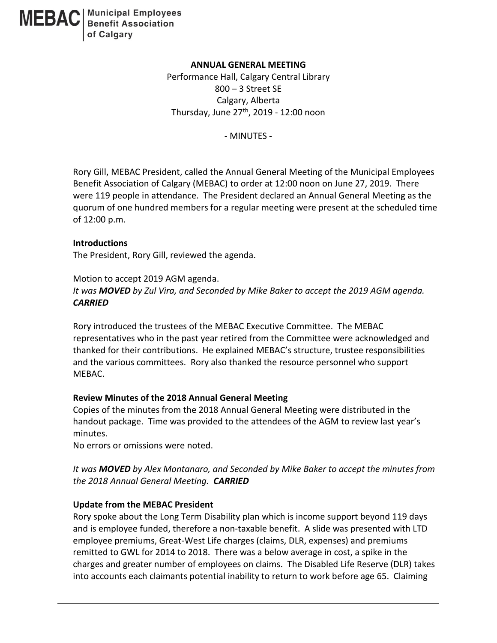

### **ANNUAL GENERAL MEETING**

Performance Hall, Calgary Central Library 800 – 3 Street SE Calgary, Alberta Thursday, June  $27<sup>th</sup>$ , 2019 - 12:00 noon

- MINUTES -

Rory Gill, MEBAC President, called the Annual General Meeting of the Municipal Employees Benefit Association of Calgary (MEBAC) to order at 12:00 noon on June 27, 2019. There were 119 people in attendance. The President declared an Annual General Meeting as the quorum of one hundred members for a regular meeting were present at the scheduled time of 12:00 p.m.

#### **Introductions**

The President, Rory Gill, reviewed the agenda.

Motion to accept 2019 AGM agenda. *It was MOVED by Zul Vira, and Seconded by Mike Baker to accept the 2019 AGM agenda. CARRIED*

Rory introduced the trustees of the MEBAC Executive Committee. The MEBAC representatives who in the past year retired from the Committee were acknowledged and thanked for their contributions. He explained MEBAC's structure, trustee responsibilities and the various committees. Rory also thanked the resource personnel who support MEBAC.

### **Review Minutes of the 2018 Annual General Meeting**

Copies of the minutes from the 2018 Annual General Meeting were distributed in the handout package. Time was provided to the attendees of the AGM to review last year's minutes.

No errors or omissions were noted.

*It was MOVED by Alex Montanaro, and Seconded by Mike Baker to accept the minutes from the 2018 Annual General Meeting. CARRIED*

### **Update from the MEBAC President**

Rory spoke about the Long Term Disability plan which is income support beyond 119 days and is employee funded, therefore a non-taxable benefit. A slide was presented with LTD employee premiums, Great-West Life charges (claims, DLR, expenses) and premiums remitted to GWL for 2014 to 2018. There was a below average in cost, a spike in the charges and greater number of employees on claims. The Disabled Life Reserve (DLR) takes into accounts each claimants potential inability to return to work before age 65. Claiming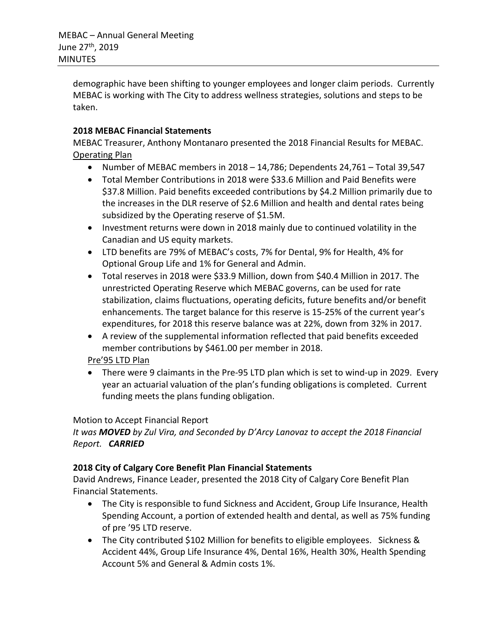demographic have been shifting to younger employees and longer claim periods. Currently MEBAC is working with The City to address wellness strategies, solutions and steps to be taken.

# **2018 MEBAC Financial Statements**

MEBAC Treasurer, Anthony Montanaro presented the 2018 Financial Results for MEBAC. Operating Plan

- Number of MEBAC members in 2018 14,786; Dependents 24,761 Total 39,547
- Total Member Contributions in 2018 were \$33.6 Million and Paid Benefits were \$37.8 Million. Paid benefits exceeded contributions by \$4.2 Million primarily due to the increases in the DLR reserve of \$2.6 Million and health and dental rates being subsidized by the Operating reserve of \$1.5M.
- Investment returns were down in 2018 mainly due to continued volatility in the Canadian and US equity markets.
- LTD benefits are 79% of MEBAC's costs, 7% for Dental, 9% for Health, 4% for Optional Group Life and 1% for General and Admin.
- Total reserves in 2018 were \$33.9 Million, down from \$40.4 Million in 2017. The unrestricted Operating Reserve which MEBAC governs, can be used for rate stabilization, claims fluctuations, operating deficits, future benefits and/or benefit enhancements. The target balance for this reserve is 15-25% of the current year's expenditures, for 2018 this reserve balance was at 22%, down from 32% in 2017.
- A review of the supplemental information reflected that paid benefits exceeded member contributions by \$461.00 per member in 2018.

# Pre'95 LTD Plan

• There were 9 claimants in the Pre-95 LTD plan which is set to wind-up in 2029. Every year an actuarial valuation of the plan's funding obligations is completed. Current funding meets the plans funding obligation.

## Motion to Accept Financial Report

*It was MOVED by Zul Vira, and Seconded by D'Arcy Lanovaz to accept the 2018 Financial Report. CARRIED*

## **2018 City of Calgary Core Benefit Plan Financial Statements**

David Andrews, Finance Leader, presented the 2018 City of Calgary Core Benefit Plan Financial Statements.

- The City is responsible to fund Sickness and Accident, Group Life Insurance, Health Spending Account, a portion of extended health and dental, as well as 75% funding of pre '95 LTD reserve.
- The City contributed \$102 Million for benefits to eligible employees. Sickness & Accident 44%, Group Life Insurance 4%, Dental 16%, Health 30%, Health Spending Account 5% and General & Admin costs 1%.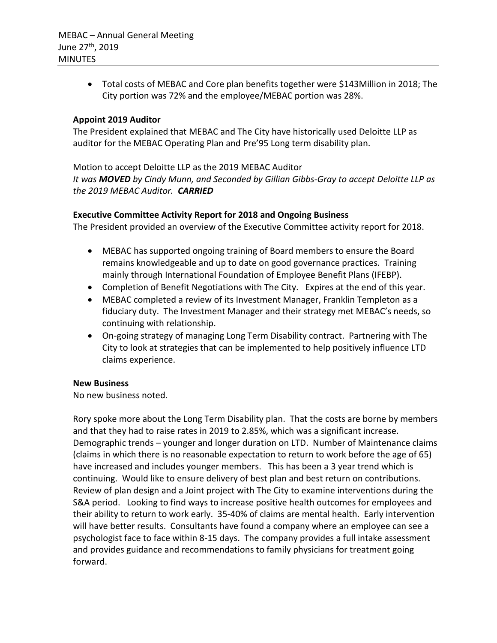• Total costs of MEBAC and Core plan benefits together were \$143Million in 2018; The City portion was 72% and the employee/MEBAC portion was 28%.

### **Appoint 2019 Auditor**

The President explained that MEBAC and The City have historically used Deloitte LLP as auditor for the MEBAC Operating Plan and Pre'95 Long term disability plan.

Motion to accept Deloitte LLP as the 2019 MEBAC Auditor *It was MOVED by Cindy Munn, and Seconded by Gillian Gibbs-Gray to accept Deloitte LLP as the 2019 MEBAC Auditor. CARRIED*

### **Executive Committee Activity Report for 2018 and Ongoing Business**

The President provided an overview of the Executive Committee activity report for 2018.

- MEBAC has supported ongoing training of Board members to ensure the Board remains knowledgeable and up to date on good governance practices. Training mainly through International Foundation of Employee Benefit Plans (IFEBP).
- Completion of Benefit Negotiations with The City. Expires at the end of this year.
- MEBAC completed a review of its Investment Manager, Franklin Templeton as a fiduciary duty. The Investment Manager and their strategy met MEBAC's needs, so continuing with relationship.
- On-going strategy of managing Long Term Disability contract. Partnering with The City to look at strategies that can be implemented to help positively influence LTD claims experience.

### **New Business**

No new business noted.

Rory spoke more about the Long Term Disability plan. That the costs are borne by members and that they had to raise rates in 2019 to 2.85%, which was a significant increase. Demographic trends – younger and longer duration on LTD. Number of Maintenance claims (claims in which there is no reasonable expectation to return to work before the age of 65) have increased and includes younger members. This has been a 3 year trend which is continuing. Would like to ensure delivery of best plan and best return on contributions. Review of plan design and a Joint project with The City to examine interventions during the S&A period. Looking to find ways to increase positive health outcomes for employees and their ability to return to work early. 35-40% of claims are mental health. Early intervention will have better results. Consultants have found a company where an employee can see a psychologist face to face within 8-15 days. The company provides a full intake assessment and provides guidance and recommendations to family physicians for treatment going forward.